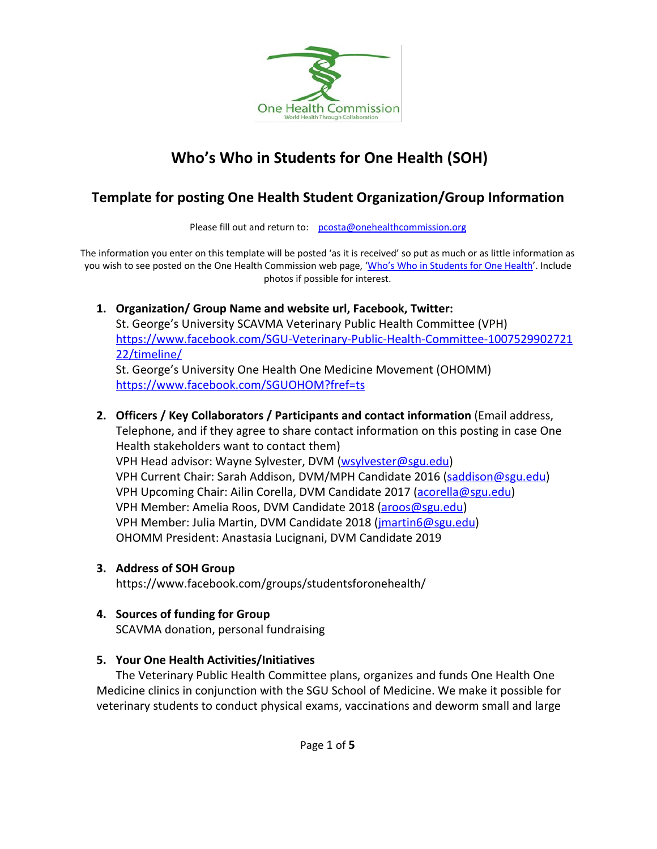

# **Who's Who in Students for One Health (SOH)**

# **Template for posting One Health Student Organization/Group Information**

Please fill out and return to: [pcosta@onehealthcommission.org](mailto:pcosta@onehealthcommission.org)

The information you enter on this template will be posted ['a](mailto:pcosta@onehealthcommission.org)s it is received' so put as much or as little information as you wish to see posted on the One Health Commission web page, 'Who's Who in [Students](https://www.onehealthcommission.org/en/one_health_news/student_news/whos_who_in_soh/) for One Health'. Include photos if possible for interest.

#### **1. Organization/ Group Name and website url, Facebook, Twitter:**

St. George's University SCAVMA Veterinary Public Health Committee (VPH) [https://www.facebook.com/SGU-Veterinary-Public-Health-Committee-1007529902721](https://www.facebook.com/SGU-Veterinary-Public-Health-Committee-100752990272122/timeline/) [22/timeline/](https://www.facebook.com/SGU-Veterinary-Public-Health-Committee-100752990272122/timeline/)

St. George's [U](https://www.facebook.com/SGU-Veterinary-Public-Health-Committee-100752990272122/timeline/)niversity One Health One Medicine Movement (OHOMM) <https://www.facebook.com/SGUOHOM?fref=ts>

#### **2. Officers / Key Collaborators / Participants and contact information** (Email address,

Telephone, and if they agree to share contact information on this posting in case One Health stakeholders want to contact them) VPH Head advisor: Wayne Sylvester, DVM [\(wsylvester@sgu.edu\)](mailto:wsylvester@sgu.edu)

VPH Current Chair: Sarah Addison, DVM/MPH Candidate 2016 [\(saddison@sgu.edu\)](mailto:saddison@sgu.edu) VPH Upcoming Chair: Ailin Corella, DVM Candidate 2017 [\(acorella@sgu.edu\)](mailto:acorella@sgu.edu) VPH Member: Amelia Roos, DVM Candidate 2018 ([aroos@sgu.edu\)](mailto:aroos@sgu.edu) VPH Member: Julia Martin, DVM Candidate 2018 [\(jmartin6@sgu.edu](mailto:jmartin6@sgu.edu)) OHOMM President: Anastasia Lucignani, DVM Candidate 2019

#### **3. Address of SOH Group**

https://www.facebook.com/groups/studentsforonehealth/

#### **4. Sources of funding for Group**

SCAVMA donation, personal fundraising

#### **5. Your One Health Activities/Initiatives**

The Veterinary Public Health Committee plans, organizes and funds One Health One Medicine clinics in conjunction with the SGU School of Medicine. We make it possible for veterinary students to conduct physical exams, vaccinations and deworm small and large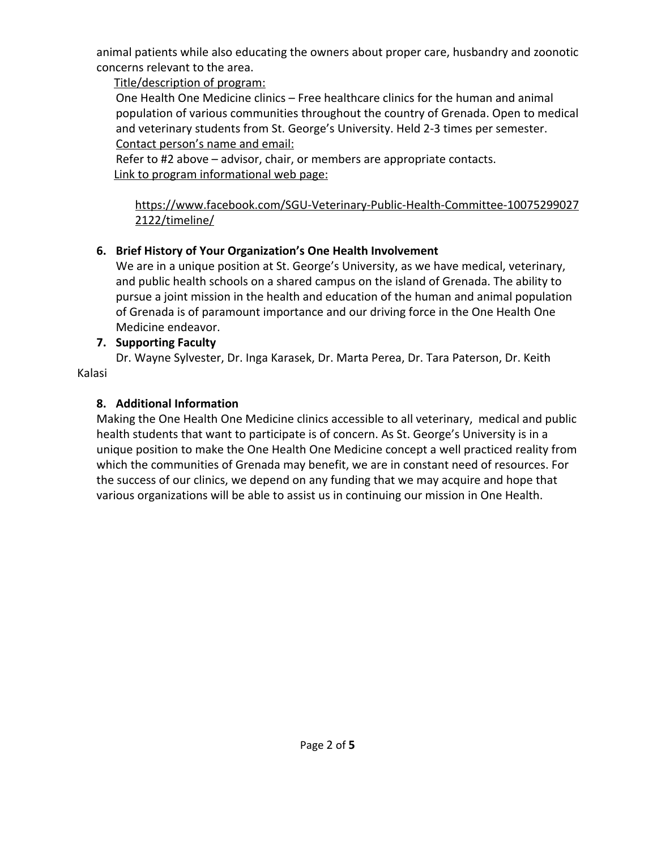animal patients while also educating the owners about proper care, husbandry and zoonotic concerns relevant to the area.

Title/description of program:

One Health One Medicine clinics – Free healthcare clinics for the human and animal population of various communities throughout the country of Grenada. Open to medical and veterinary students from St. George's University. Held 2-3 times per semester. Contact person's name and email:

Refer to #2 above – advisor, chair, or members are appropriate contacts. Link to program informational web page:

https://www.facebook.com/SGU-Veterinary-Public-Health-Committee-10075299027 2122/timeline/

## **6. Brief History of Your Organization's One Health Involvement**

We are in a unique position at St. George's University, as we have medical, veterinary, and public health schools on a shared campus on the island of Grenada. The ability to pursue a joint mission in the health and education of the human and animal population of Grenada is of paramount importance and our driving force in the One Health One Medicine endeavor.

#### **7. Supporting Faculty**

Dr. Wayne Sylvester, Dr. Inga Karasek, Dr. Marta Perea, Dr. Tara Paterson, Dr. Keith Kalasi

## **8. Additional Information**

Making the One Health One Medicine clinics accessible to all veterinary, medical and public health students that want to participate is of concern. As St. George's University is in a unique position to make the One Health One Medicine concept a well practiced reality from which the communities of Grenada may benefit, we are in constant need of resources. For the success of our clinics, we depend on any funding that we may acquire and hope that various organizations will be able to assist us in continuing our mission in One Health.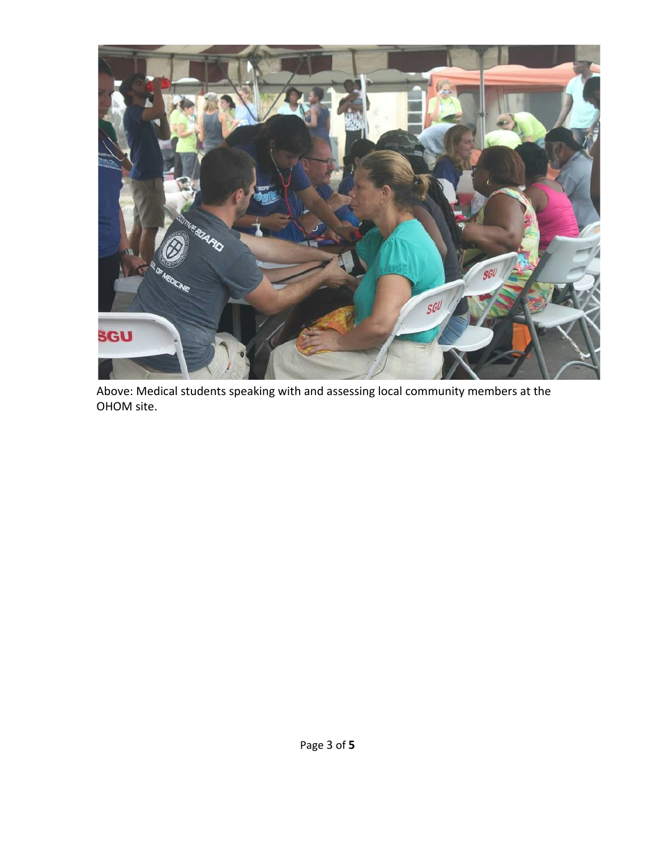

Above: Medical students speaking with and assessing local community members at the OHOM site.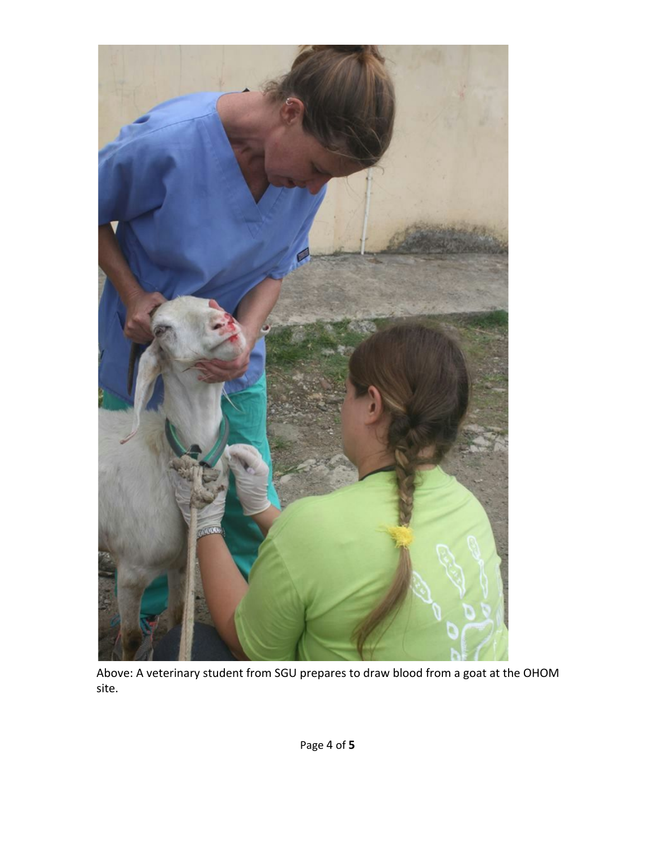

Above: A veterinary student from SGU prepares to draw blood from a goat at the OHOM site.